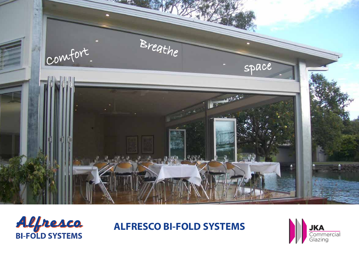



**ALFRESCO BI-FOLD SYSTEMS** 

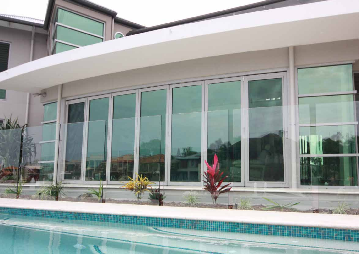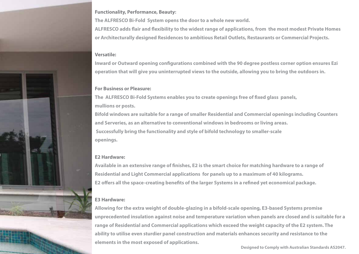

#### **Functionality, Performance, Beauty:**

**The ALFRESCO Bi-Fold System opens the door to a whole new world.** 

**ALFRESCO adds flair and flexibility to the widest range of applications, from the most modest Private Homes or Architecturally designed Residences to ambitious Retail Outlets, Restaurants or Commercial Projects.**

#### **Versatile:**

**Inward or Outward opening configurations combined with the 90 degree postless corner option ensures Ezi operation that will give you uninterrupted views to the outside, allowing you to bring the outdoors in.**

#### **For Business or Pleasure:**

**The ALFRESCO Bi-Fold Systems enables you to create openings free of fixed glass panels, mullions or posts.**

**Bifold windows are suitable for a range of smaller Residential and Commercial openings including Counters and Serveries, as an alternative to conventional windows in bedrooms or living areas. Successfully bring the functionality and style of bifold technology to smaller-scale openings.**

#### **E2 Hardware:**

**Available in an extensive range of finishes, E2 is the smart choice for matching hardware to a range of Residential and Light Commercial applications for panels up to a maximum of 40 kilograms. E2 offers all the space-creating benefits of the larger Systems in a refined yet economical package.** 

#### **E3 Hardware:**

**Allowing for the extra weight of double-glazing in a bifold-scale opening, E3-based Systems promise unprecedented insulation against noise and temperature variation when panels are closed and is suitable for a range of Residential and Commercial applications which exceed the weight capacity of the E2 system. The ability to utilise even sturdier panel construction and materials enhances security and resistance to the elements in the most exposed of applications.**

**Designed to Comply with Australian Standards AS2047.**